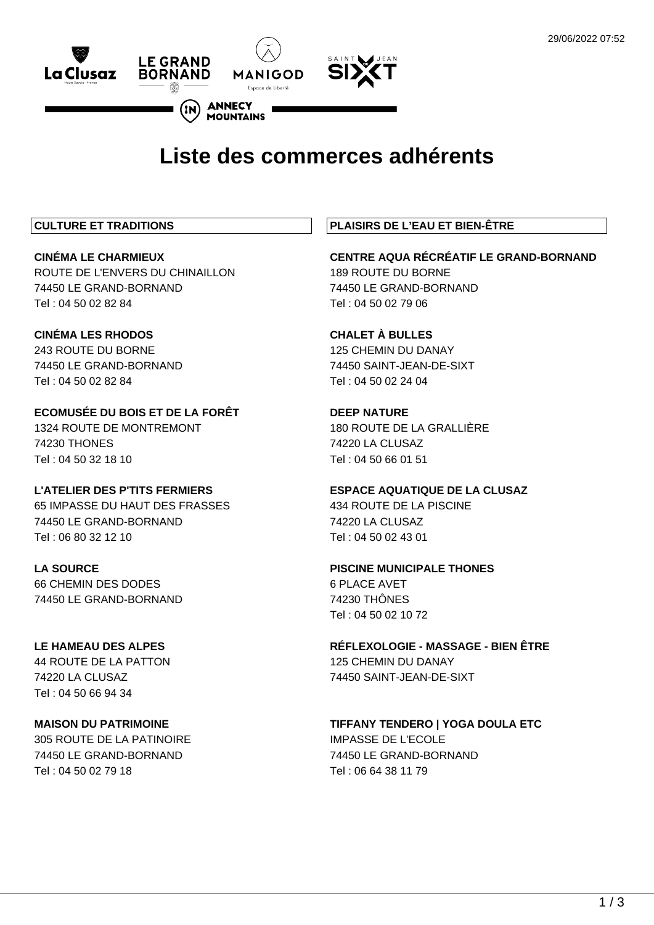

# **Liste des commerces adhérents**

# **CULTURE ET TRADITIONS**

**CINÉMA LE CHARMIEUX** ROUTE DE L'ENVERS DU CHINAILLON 74450 LE GRAND-BORNAND Tel : 04 50 02 82 84

# **CINÉMA LES RHODOS** 243 ROUTE DU BORNE

74450 LE GRAND-BORNAND Tel : 04 50 02 82 84

**ECOMUSÉE DU BOIS ET DE LA FORÊT** 1324 ROUTE DE MONTREMONT 74230 THONES Tel : 04 50 32 18 10

# **L'ATELIER DES P'TITS FERMIERS**

65 IMPASSE DU HAUT DES FRASSES 74450 LE GRAND-BORNAND Tel : 06 80 32 12 10

# **LA SOURCE**

66 CHEMIN DES DODES 74450 LE GRAND-BORNAND

# **LE HAMEAU DES ALPES** 44 ROUTE DE LA PATTON

74220 LA CLUSAZ Tel : 04 50 66 94 34

# **MAISON DU PATRIMOINE**

305 ROUTE DE LA PATINOIRE 74450 LE GRAND-BORNAND Tel : 04 50 02 79 18

# **PLAISIRS DE L'EAU ET BIEN-ÊTRE**

**CENTRE AQUA RÉCRÉATIF LE GRAND-BORNAND** 189 ROUTE DU BORNE 74450 LE GRAND-BORNAND Tel : 04 50 02 79 06

# **CHALET À BULLES**

125 CHEMIN DU DANAY 74450 SAINT-JEAN-DE-SIXT Tel : 04 50 02 24 04

# **DEEP NATURE**

180 ROUTE DE LA GRALLIÈRE 74220 LA CLUSAZ Tel : 04 50 66 01 51

#### **ESPACE AQUATIQUE DE LA CLUSAZ** 434 ROUTE DE LA PISCINE

74220 LA CLUSAZ Tel : 04 50 02 43 01

# **PISCINE MUNICIPALE THONES**

6 PLACE AVET 74230 THÔNES Tel : 04 50 02 10 72

**RÉFLEXOLOGIE - MASSAGE - BIEN ÊTRE** 125 CHEMIN DU DANAY 74450 SAINT-JEAN-DE-SIXT

# **TIFFANY TENDERO | YOGA DOULA ETC** IMPASSE DE L'ECOLE 74450 LE GRAND-BORNAND Tel : 06 64 38 11 79

 $1/3$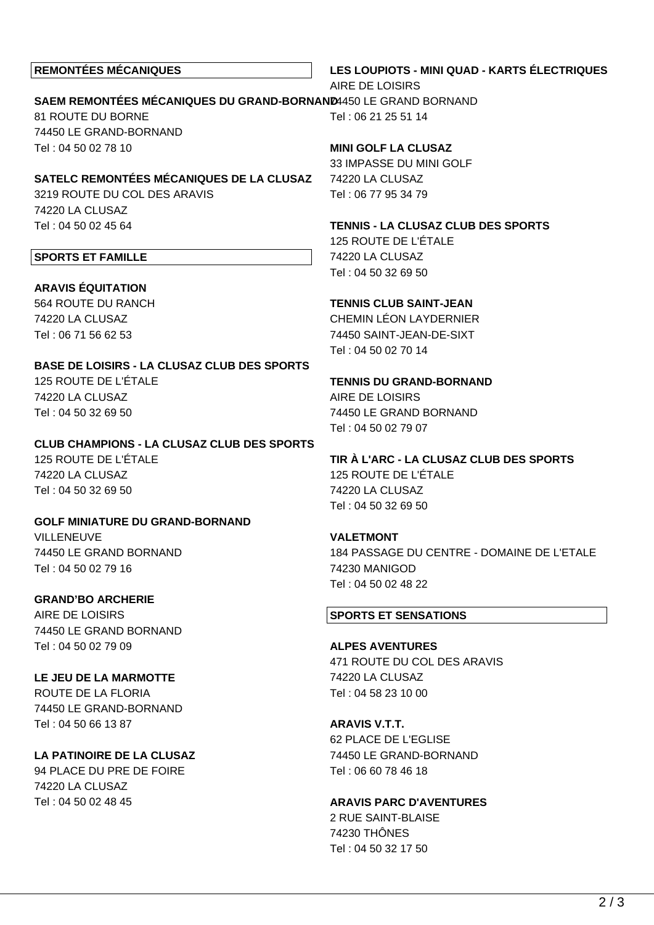### **REMONTÉES MÉCANIQUES**

**LES LOUPIOTS - MINI QUAD - KARTS ÉLECTRIQUES** AIRE DE LOISIRS

#### **SAEM REMONTÉES MÉCANIQUES DU GRAND-BORNAND** 74450 LE GRAND BORNAND 81 ROUTE DU BORNE Tel : 06 21 25 51 14

74450 LE GRAND-BORNAND Tel : 04 50 02 78 10

**SATELC REMONTÉES MÉCANIQUES DE LA CLUSAZ** 3219 ROUTE DU COL DES ARAVIS 74220 LA CLUSAZ Tel : 04 50 02 45 64

#### **SPORTS ET FAMILLE**

**ARAVIS ÉQUITATION** 564 ROUTE DU RANCH 74220 LA CLUSAZ Tel : 06 71 56 62 53

**BASE DE LOISIRS - LA CLUSAZ CLUB DES SPORTS** 125 ROUTE DE L'ÉTALE 74220 LA CLUSAZ Tel : 04 50 32 69 50

**CLUB CHAMPIONS - LA CLUSAZ CLUB DES SPORTS** 125 ROUTE DE L'ÉTALE 74220 LA CLUSAZ Tel : 04 50 32 69 50

**GOLF MINIATURE DU GRAND-BORNAND VILLENEUVE** 74450 LE GRAND BORNAND Tel : 04 50 02 79 16

**GRAND'BO ARCHERIE** AIRE DE LOISIRS 74450 LE GRAND BORNAND Tel : 04 50 02 79 09

**LE JEU DE LA MARMOTTE** ROUTE DE LA FLORIA 74450 LE GRAND-BORNAND Tel : 04 50 66 13 87

**LA PATINOIRE DE LA CLUSAZ** 94 PLACE DU PRE DE FOIRE 74220 LA CLUSAZ Tel : 04 50 02 48 45

**MINI GOLF LA CLUSAZ**

33 IMPASSE DU MINI GOLF 74220 LA CLUSAZ Tel : 06 77 95 34 79

**TENNIS - LA CLUSAZ CLUB DES SPORTS**

125 ROUTE DE L'ÉTALE 74220 LA CLUSAZ Tel : 04 50 32 69 50

### **TENNIS CLUB SAINT-JEAN**

CHEMIN LÉON LAYDERNIER 74450 SAINT-JEAN-DE-SIXT Tel : 04 50 02 70 14

#### **TENNIS DU GRAND-BORNAND**

AIRE DE LOISIRS 74450 LE GRAND BORNAND Tel : 04 50 02 79 07

# **TIR À L'ARC - LA CLUSAZ CLUB DES SPORTS**

125 ROUTE DE L'ÉTALE 74220 LA CLUSAZ Tel : 04 50 32 69 50

**VALETMONT**

184 PASSAGE DU CENTRE - DOMAINE DE L'ETALE 74230 MANIGOD Tel : 04 50 02 48 22

#### **SPORTS ET SENSATIONS**

**ALPES AVENTURES** 471 ROUTE DU COL DES ARAVIS 74220 LA CLUSAZ Tel : 04 58 23 10 00

**ARAVIS V.T.T.**

62 PLACE DE L'EGLISE 74450 LE GRAND-BORNAND Tel : 06 60 78 46 18

#### **ARAVIS PARC D'AVENTURES**

2 RUE SAINT-BLAISE 74230 THÔNES Tel : 04 50 32 17 50